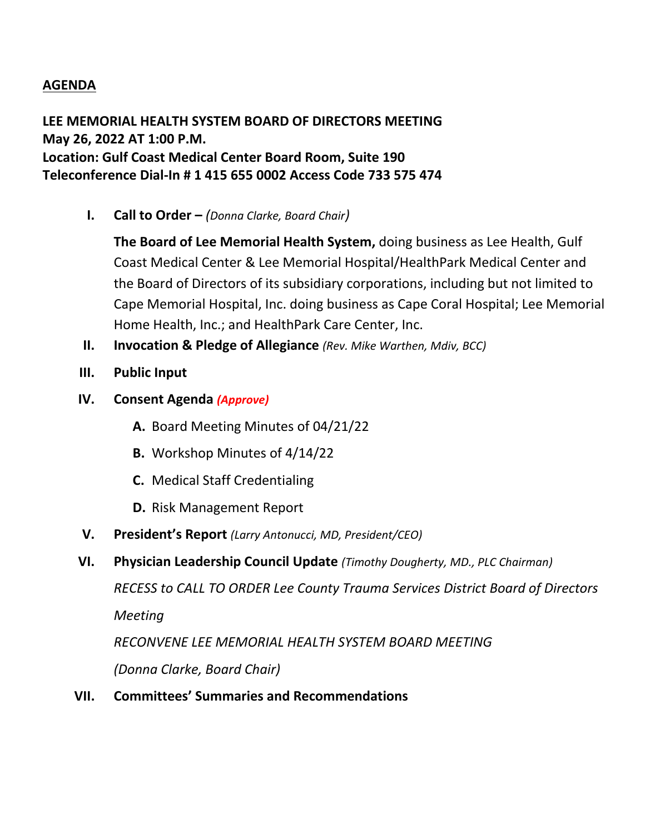## **AGENDA**

## **LEE MEMORIAL HEALTH SYSTEM BOARD OF DIRECTORS MEETING May 26, 2022 AT 1:00 P.M. Location: Gulf Coast Medical Center Board Room, Suite 190 Teleconference Dial-In # 1 415 655 0002 Access Code 733 575 474**

**I. Call to Order –** *(Donna Clarke, Board Chair)*

**The Board of Lee Memorial Health System,** doing business as Lee Health, Gulf Coast Medical Center & Lee Memorial Hospital/HealthPark Medical Center and the Board of Directors of its subsidiary corporations, including but not limited to Cape Memorial Hospital, Inc. doing business as Cape Coral Hospital; Lee Memorial Home Health, Inc.; and HealthPark Care Center, Inc.

- **II. Invocation & Pledge of Allegiance** *(Rev. Mike Warthen, Mdiv, BCC)*
- **III. Public Input**
- **IV. Consent Agenda** *(Approve)*
	- **A.** Board Meeting Minutes of 04/21/22
	- **B.** Workshop Minutes of 4/14/22
	- **C.** Medical Staff Credentialing
	- **D.** Risk Management Report
- **V. President's Report** *(Larry Antonucci, MD, President/CEO)*
- **VI. Physician Leadership Council Update** *(Timothy Dougherty, MD., PLC Chairman)*

*RECESS to CALL TO ORDER Lee County Trauma Services District Board of Directors Meeting*

*RECONVENE LEE MEMORIAL HEALTH SYSTEM BOARD MEETING*

*(Donna Clarke, Board Chair)*

**VII. Committees' Summaries and Recommendations**